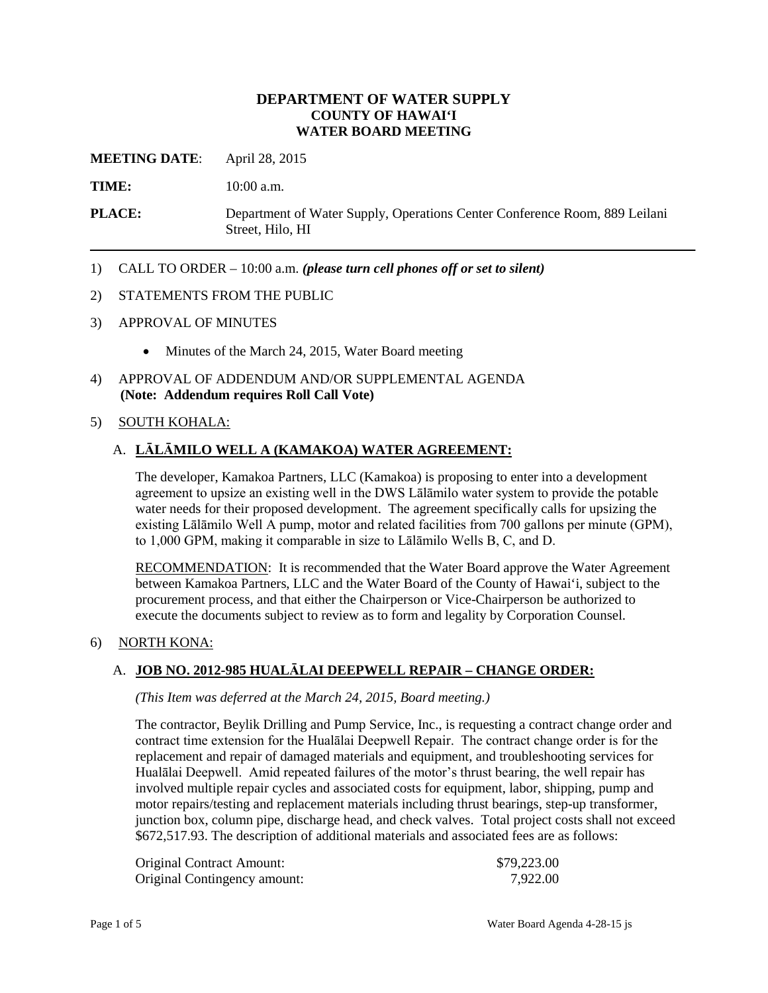## **DEPARTMENT OF WATER SUPPLY COUNTY OF HAWAI'I WATER BOARD MEETING**

**MEETING DATE**: April 28, 2015

TIME: 10:00 a.m.

**PLACE:** Department of Water Supply, Operations Center Conference Room, 889 Leilani Street, Hilo, HI

1) CALL TO ORDER – 10:00 a.m. *(please turn cell phones off or set to silent)* 

#### 2) STATEMENTS FROM THE PUBLIC

- 3) APPROVAL OF MINUTES
	- Minutes of the March 24, 2015, Water Board meeting
- 4) APPROVAL OF ADDENDUM AND/OR SUPPLEMENTAL AGENDA **(Note: Addendum requires Roll Call Vote)**

### 5) SOUTH KOHALA:

## A. **LĀLĀMILO WELL A (KAMAKOA) WATER AGREEMENT:**

 water needs for their proposed development. The agreement specifically calls for upsizing the The developer, Kamakoa Partners, LLC (Kamakoa) is proposing to enter into a development agreement to upsize an existing well in the DWS Lālāmilo water system to provide the potable existing Lālāmilo Well A pump, motor and related facilities from 700 gallons per minute (GPM), to 1,000 GPM, making it comparable in size to Lālāmilo Wells B, C, and D.

RECOMMENDATION: It is recommended that the Water Board approve the Water Agreement between Kamakoa Partners, LLC and the Water Board of the County of Hawai'i, subject to the procurement process, and that either the Chairperson or Vice-Chairperson be authorized to execute the documents subject to review as to form and legality by Corporation Counsel.

#### 6) NORTH KONA:

### A. **JOB NO. 2012-985 HUALĀLAI DEEPWELL REPAIR – CHANGE ORDER:**

*(This Item was deferred at the March 24, 2015, Board meeting.)* 

 contract time extension for the Hualālai Deepwell Repair. The contract change order is for the Hualālai Deepwell. Amid repeated failures of the motor's thrust bearing, the well repair has junction box, column pipe, discharge head, and check valves. Total project costs shall not exceed The contractor, Beylik Drilling and Pump Service, Inc., is requesting a contract change order and replacement and repair of damaged materials and equipment, and troubleshooting services for involved multiple repair cycles and associated costs for equipment, labor, shipping, pump and motor repairs/testing and replacement materials including thrust bearings, step-up transformer, \$672,517.93. The description of additional materials and associated fees are as follows:

| <b>Original Contract Amount:</b> | \$79,223.00 |
|----------------------------------|-------------|
| Original Contingency amount:     | 7,922.00    |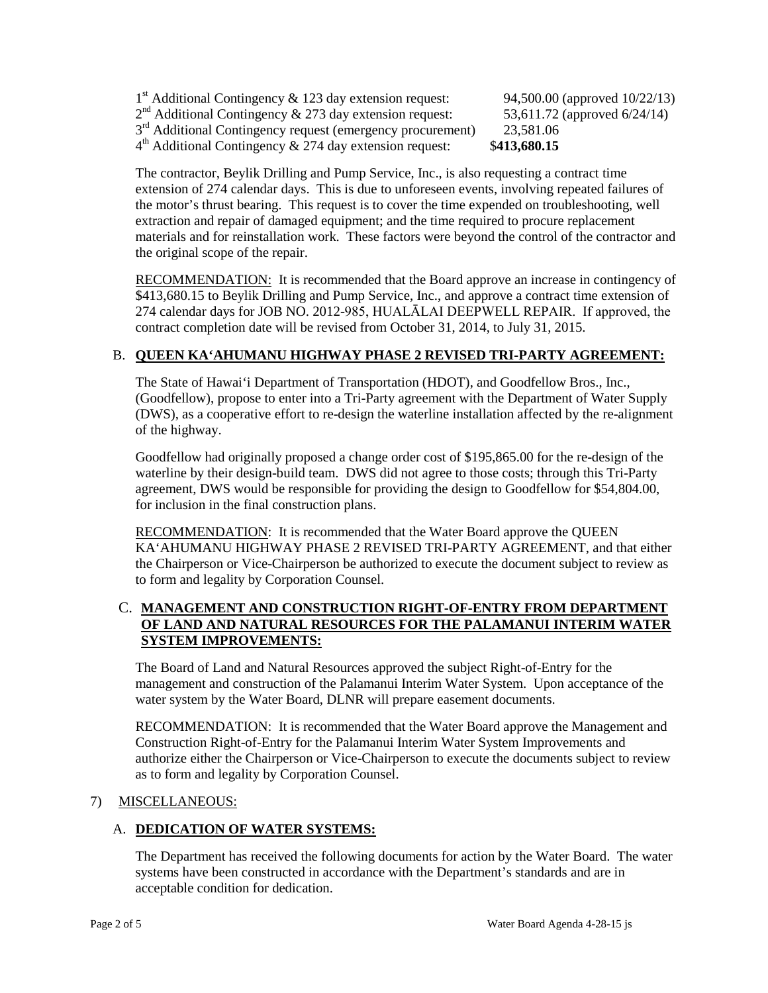$1<sup>st</sup>$  Additional Contingency & 123 day extension request: 94,500.00 (approved 10/22/13)  $2<sup>nd</sup>$  Additional Contingency & 273 day extension request:  $3<sup>rd</sup>$  Additional Contingency request (emergency procurement) 23,581.06 4th Additional Contingency & 274 day extension request: \$**413,680.15**

53,611.72 (approved 6/24/14)

 extension of 274 calendar days. This is due to unforeseen events, involving repeated failures of the motor's thrust bearing. This request is to cover the time expended on troubleshooting, well extraction and repair of damaged equipment; and the time required to procure replacement the original scope of the repair. The contractor, Beylik Drilling and Pump Service, Inc., is also requesting a contract time materials and for reinstallation work. These factors were beyond the control of the contractor and

RECOMMENDATION: It is recommended that the Board approve an increase in contingency of 274 calendar days for JOB NO. 2012-985, HUALĀLAI DEEPWELL REPAIR. If approved, the \$413,680.15 to Beylik Drilling and Pump Service, Inc., and approve a contract time extension of contract completion date will be revised from October 31, 2014, to July 31, 2015.

# B. **QUEEN KA'AHUMANU HIGHWAY PHASE 2 REVISED TRI-PARTY AGREEMENT:**

 (DWS), as a cooperative effort to re-design the waterline installation affected by the re-alignment The State of Hawai'i Department of Transportation (HDOT), and Goodfellow Bros., Inc., (Goodfellow), propose to enter into a Tri-Party agreement with the Department of Water Supply of the highway.

 Goodfellow had originally proposed a change order cost of \$195,865.00 for the re-design of the waterline by their design-build team. DWS did not agree to those costs; through this Tri-Party agreement, DWS would be responsible for providing the design to Goodfellow for \$54,804.00, for inclusion in the final construction plans.

RECOMMENDATION: It is recommended that the Water Board approve the QUEEN KA'AHUMANU HIGHWAY PHASE 2 REVISED TRI-PARTY AGREEMENT, and that either the Chairperson or Vice-Chairperson be authorized to execute the document subject to review as to form and legality by Corporation Counsel.

# C. **MANAGEMENT AND CONSTRUCTION RIGHT-OF-ENTRY FROM DEPARTMENT OF LAND AND NATURAL RESOURCES FOR THE PALAMANUI INTERIM WATER SYSTEM IMPROVEMENTS:**

The Board of Land and Natural Resources approved the subject Right-of-Entry for the management and construction of the Palamanui Interim Water System. Upon acceptance of the water system by the Water Board, DLNR will prepare easement documents.

 RECOMMENDATION: It is recommended that the Water Board approve the Management and Construction Right-of-Entry for the Palamanui Interim Water System Improvements and authorize either the Chairperson or Vice-Chairperson to execute the documents subject to review as to form and legality by Corporation Counsel.

# 7) MISCELLANEOUS:

# A. **DEDICATION OF WATER SYSTEMS:**

 The Department has received the following documents for action by the Water Board. The water systems have been constructed in accordance with the Department's standards and are in acceptable condition for dedication.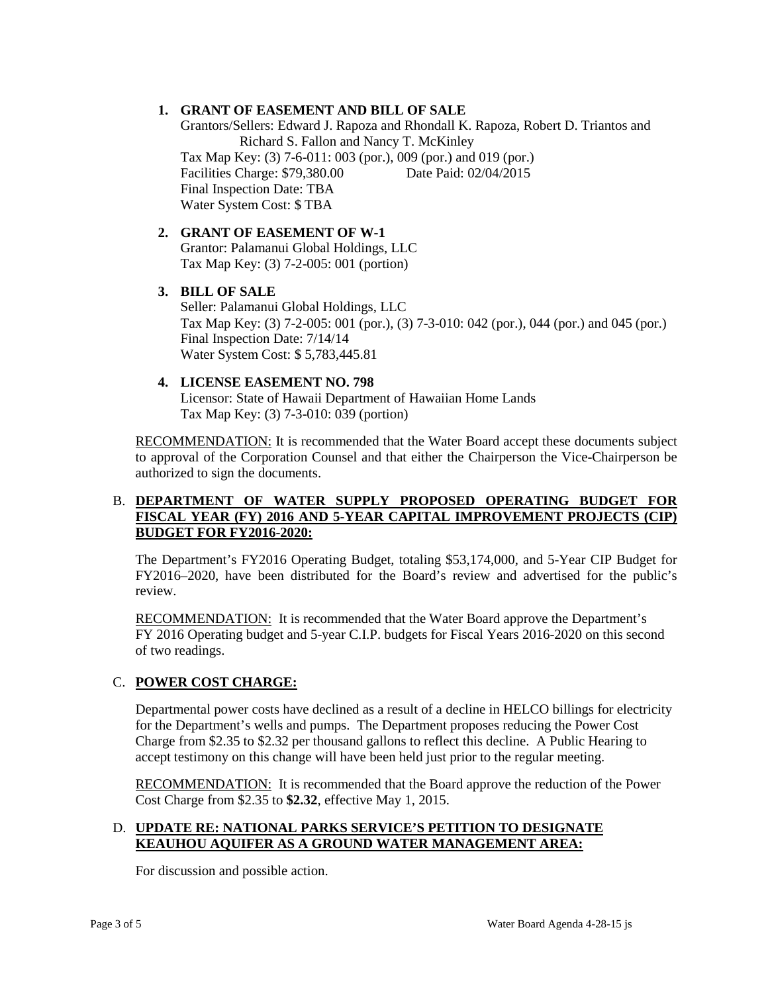## **1. GRANT OF EASEMENT AND BILL OF SALE**

 Final Inspection Date: TBA Grantors/Sellers: Edward J. Rapoza and Rhondall K. Rapoza, Robert D. Triantos and Richard S. Fallon and Nancy T. McKinley Tax Map Key: (3) 7-6-011: 003 (por.), 009 (por.) and 019 (por.) Facilities Charge: \$79,380.00 Date Paid: 02/04/2015 Water System Cost: \$ TBA

#### **2. GRANT OF EASEMENT OF W-1**  Grantor: Palamanui Global Holdings, LLC Tax Map Key: (3) 7-2-005: 001 (portion)

## **3. BILL OF SALE**

Seller: Palamanui Global Holdings, LLC Tax Map Key: (3) 7-2-005: 001 (por.), (3) 7-3-010: 042 (por.), 044 (por.) and 045 (por.) Final Inspection Date: 7/14/14 Water System Cost: \$ 5,783,445.81

# **4. LICENSE EASEMENT NO. 798**

Licensor: State of Hawaii Department of Hawaiian Home Lands Tax Map Key: (3) 7-3-010: 039 (portion)

RECOMMENDATION: It is recommended that the Water Board accept these documents subject to approval of the Corporation Counsel and that either the Chairperson the Vice-Chairperson be authorized to sign the documents.

## B. **DEPARTMENT OF WATER SUPPLY PROPOSED OPERATING BUDGET FOR FISCAL YEAR (FY) 2016 AND 5-YEAR CAPITAL IMPROVEMENT PROJECTS (CIP) BUDGET FOR FY2016-2020:**

 FY2016–2020, have been distributed for the Board's review and advertised for the public's The Department's FY2016 Operating Budget, totaling \$53,174,000, and 5-Year CIP Budget for review.

RECOMMENDATION: It is recommended that the Water Board approve the Department's FY 2016 Operating budget and 5-year C.I.P. budgets for Fiscal Years 2016-2020 on this second of two readings.

# C. **POWER COST CHARGE:**

Departmental power costs have declined as a result of a decline in HELCO billings for electricity for the Department's wells and pumps. The Department proposes reducing the Power Cost Charge from \$2.35 to \$2.32 per thousand gallons to reflect this decline. A Public Hearing to accept testimony on this change will have been held just prior to the regular meeting.

RECOMMENDATION: It is recommended that the Board approve the reduction of the Power Cost Charge from \$2.35 to **\$2.32**, effective May 1, 2015.

## D. **UPDATE RE: NATIONAL PARKS SERVICE'S PETITION TO DESIGNATE KEAUHOU AQUIFER AS A GROUND WATER MANAGEMENT AREA:**

For discussion and possible action.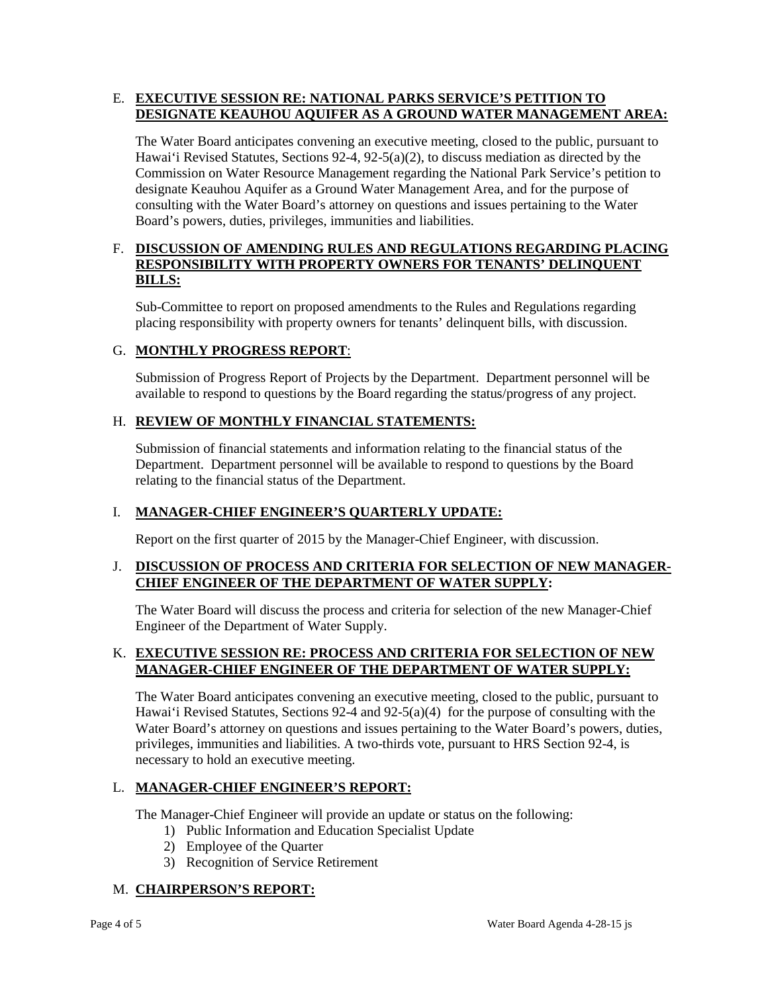## E. **EXECUTIVE SESSION RE: NATIONAL PARKS SERVICE'S PETITION TO DESIGNATE KEAUHOU AQUIFER AS A GROUND WATER MANAGEMENT AREA:**

 Commission on Water Resource Management regarding the National Park Service's petition to designate Keauhou Aquifer as a Ground Water Management Area, and for the purpose of consulting with the Water Board's attorney on questions and issues pertaining to the Water The Water Board anticipates convening an executive meeting, closed to the public, pursuant to Hawai'i Revised Statutes, Sections 92-4, 92-5(a)(2), to discuss mediation as directed by the Board's powers, duties, privileges, immunities and liabilities.

## F. DISCUSSION OF AMENDING RULES AND REGULATIONS REGARDING PLACING **RESPONSIBILITY WITH PROPERTY OWNERS FOR TENANTS' DELINQUENT BILLS:**

 Sub-Committee to report on proposed amendments to the Rules and Regulations regarding placing responsibility with property owners for tenants' delinquent bills, with discussion.

# G. **MONTHLY PROGRESS REPORT**:

Submission of Progress Report of Projects by the Department. Department personnel will be available to respond to questions by the Board regarding the status/progress of any project.

### H. **REVIEW OF MONTHLY FINANCIAL STATEMENTS:**

 Submission of financial statements and information relating to the financial status of the relating to the financial status of the Department. Department. Department personnel will be available to respond to questions by the Board

### I. **MANAGER-CHIEF ENGINEER'S QUARTERLY UPDATE:**

Report on the first quarter of 2015 by the Manager-Chief Engineer, with discussion.

## **J. DISCUSSION OF PROCESS AND CRITERIA FOR SELECTION OF NEW MANAGER-CHIEF ENGINEER OF THE DEPARTMENT OF WATER SUPPLY:**

The Water Board will discuss the process and criteria for selection of the new Manager-Chief Engineer of the Department of Water Supply.

### K. **EXECUTIVE SESSION RE: PROCESS AND CRITERIA FOR SELECTION OF NEW MANAGER-CHIEF ENGINEER OF THE DEPARTMENT OF WATER SUPPLY:**

 Hawai'i Revised Statutes, Sections 92-4 and 92-5(a)(4) for the purpose of consulting with the privileges, immunities and liabilities. A two-thirds vote, pursuant to HRS Section 92-4, is The Water Board anticipates convening an executive meeting, closed to the public, pursuant to Water Board's attorney on questions and issues pertaining to the Water Board's powers, duties, necessary to hold an executive meeting.

### L. **MANAGER-CHIEF ENGINEER'S REPORT:**

The Manager-Chief Engineer will provide an update or status on the following:

- 1) Public Information and Education Specialist Update
- 2) Employee of the Quarter
- 3) Recognition of Service Retirement

# M. **CHAIRPERSON'S REPORT:**